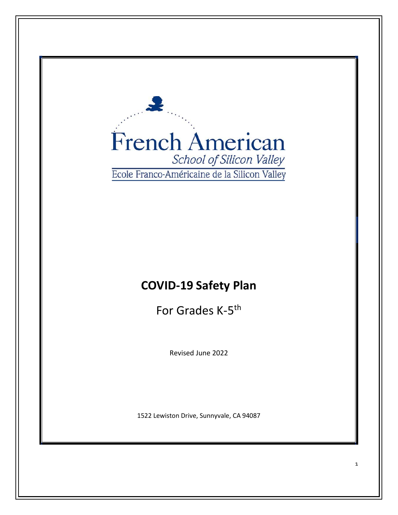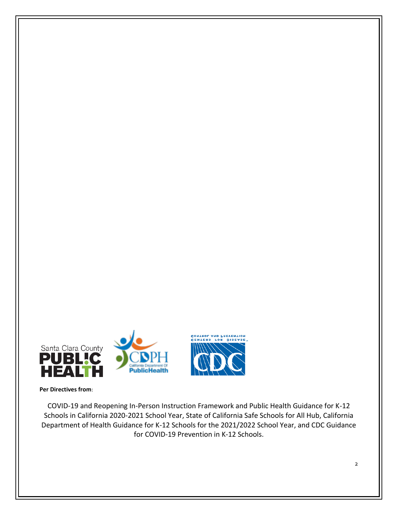



**Per Directives from**:

COVID-19 and Reopening In-Person Instruction Framework and Public Health Guidance for K-12 Schools in California 2020-2021 School Year, State of California Safe Schools for All Hub, California Department of Health Guidance for K-12 Schools for the 2021/2022 School Year, and CDC Guidance for COVID-19 Prevention in K-12 Schools.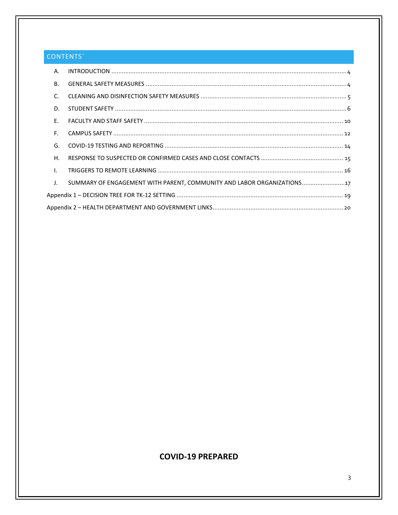# CONTENTS`

| Α.                        |                                                                      |
|---------------------------|----------------------------------------------------------------------|
| <b>B.</b>                 |                                                                      |
| C.                        |                                                                      |
| D.                        |                                                                      |
| F.                        |                                                                      |
| F.                        |                                                                      |
| G.                        |                                                                      |
| Η.                        |                                                                      |
| $\mathbf{L}$              |                                                                      |
| $\mathbf{J}_{\mathbf{r}}$ | SUMMARY OF ENGAGEMENT WITH PARENT, COMMUNITY AND LABOR ORGANIZATIONS |
|                           |                                                                      |
|                           |                                                                      |

# **COVID-19 PREPARED**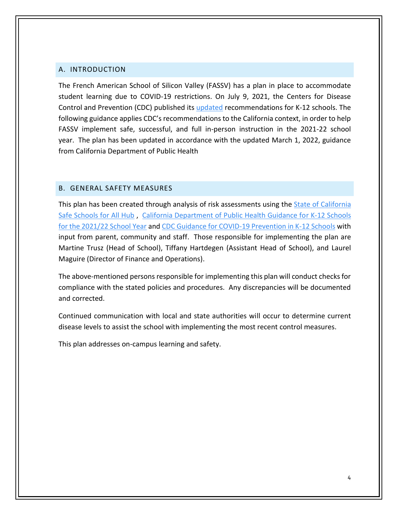#### <span id="page-3-0"></span>A. INTRODUCTION

The French American School of Silicon Valley (FASSV) has a plan in place to accommodate student learning due to COVID-19 restrictions. On July 9, 2021, the Centers for Disease Control and Prevention (CDC) published its [updated](https://www.cdc.gov/coronavirus/2019-ncov/community/schools-childcare/k-12-guidance.html) recommendations for K-12 schools. The following guidance applies CDC's recommendations to the California context, in order to help FASSV implement safe, successful, and full in-person instruction in the 2021-22 school year. The plan has been updated in accordance with the updated March 1, 2022, guidance from California Department of Public Health

### <span id="page-3-1"></span>B. GENERAL SAFETY MEASURES

This plan has been created through analysis of risk assessments using the State of California [Safe Schools for All Hub](https://schools.covid19.ca.gov/) , [California Department of Public Health Guidance for K-12 Schools](https://www.cdph.ca.gov/Programs/CID/DCDC/Pages/COVID-19/K-12-Guidance-2021-22-School-Year.aspx)  [for the 2021/22 School Year](https://www.cdph.ca.gov/Programs/CID/DCDC/Pages/COVID-19/K-12-Guidance-2021-22-School-Year.aspx) and [CDC Guidance for COVID-19 Prevention in K-12 Schools](https://www.cdc.gov/coronavirus/2019-ncov/community/schools-childcare/k-12-guidance.html#anchor_1625661984621) with input from parent, community and staff. Those responsible for implementing the plan are Martine Trusz (Head of School), Tiffany Hartdegen (Assistant Head of School), and Laurel Maguire (Director of Finance and Operations).

The above-mentioned persons responsible for implementing this plan will conduct checks for compliance with the stated policies and procedures. Any discrepancies will be documented and corrected.

Continued communication with local and state authorities will occur to determine current disease levels to assist the school with implementing the most recent control measures.

This plan addresses on-campus learning and safety.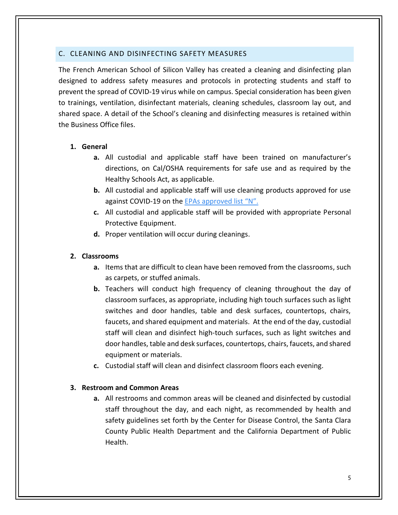### <span id="page-4-0"></span>C. CLEANING AND DISINFECTING SAFETY MEASURES

The French American School of Silicon Valley has created a cleaning and disinfecting plan designed to address safety measures and protocols in protecting students and staff to prevent the spread of COVID-19 virus while on campus. Special consideration has been given to trainings, ventilation, disinfectant materials, cleaning schedules, classroom lay out, and shared space. A detail of the School's cleaning and disinfecting measures is retained within the Business Office files.

### **1. General**

- **a.** All custodial and applicable staff have been trained on manufacturer's directions, on Cal/OSHA requirements for safe use and as required by the Healthy Schools Act, as applicable.
- **b.** All custodial and applicable staff will use cleaning products approved for use against COVID-19 on the [EPAs approved list "N".](https://www.epa.gov/pesticide-registration/list-n-disinfectants-use-against-sars-cov-2-covid-19)
- **c.** All custodial and applicable staff will be provided with appropriate Personal Protective Equipment.
- **d.** Proper ventilation will occur during cleanings.

### **2. Classrooms**

- **a.** Items that are difficult to clean have been removed from the classrooms, such as carpets, or stuffed animals.
- **b.** Teachers will conduct high frequency of cleaning throughout the day of classroom surfaces, as appropriate, including high touch surfaces such as light switches and door handles, table and desk surfaces, countertops, chairs, faucets, and shared equipment and materials. At the end of the day, custodial staff will clean and disinfect high-touch surfaces, such as light switches and door handles, table and desk surfaces, countertops, chairs, faucets, and shared equipment or materials.
- **c.** Custodial staff will clean and disinfect classroom floors each evening.

### **3. Restroom and Common Areas**

**a.** All restrooms and common areas will be cleaned and disinfected by custodial staff throughout the day, and each night, as recommended by health and safety guidelines set forth by the Center for Disease Control, the Santa Clara County Public Health Department and the California Department of Public Health.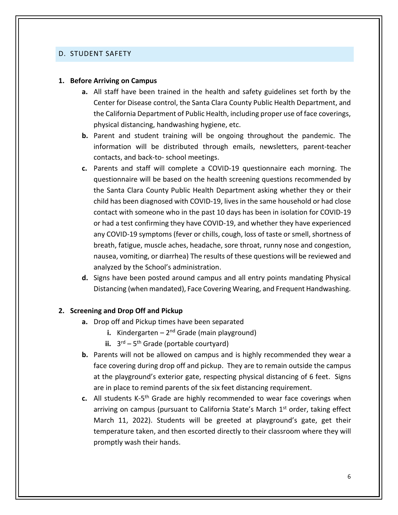#### <span id="page-5-0"></span>D. STUDENT SAFETY

#### **1. Before Arriving on Campus**

- **a.** All staff have been trained in the health and safety guidelines set forth by the Center for Disease control, the Santa Clara County Public Health Department, and the California Department of Public Health, including proper use of face coverings, physical distancing, handwashing hygiene, etc.
- **b.** Parent and student training will be ongoing throughout the pandemic. The information will be distributed through emails, newsletters, parent-teacher contacts, and back-to- school meetings.
- **c.** Parents and staff will complete a COVID-19 questionnaire each morning. The questionnaire will be based on the health screening questions recommended by the Santa Clara County Public Health Department asking whether they or their child has been diagnosed with COVID-19, lives in the same household or had close contact with someone who in the past 10 days has been in isolation for COVID-19 or had a test confirming they have COVID-19, and whether they have experienced any COVID-19 symptoms (fever or chills, cough, loss of taste or smell, shortness of breath, fatigue, muscle aches, headache, sore throat, runny nose and congestion, nausea, vomiting, or diarrhea) The results of these questions will be reviewed and analyzed by the School's administration.
- **d.** Signs have been posted around campus and all entry points mandating Physical Distancing (when mandated), Face Covering Wearing, and Frequent Handwashing.

#### **2. Screening and Drop Off and Pickup**

- **a.** Drop off and Pickup times have been separated
	- **i.** Kindergarten 2<sup>nd</sup> Grade (main playground)
	- ii.  $3^{rd} 5^{th}$  Grade (portable courtyard)
- **b.** Parents will not be allowed on campus and is highly recommended they wear a face covering during drop off and pickup. They are to remain outside the campus at the playground's exterior gate, respecting physical distancing of 6 feet. Signs are in place to remind parents of the six feet distancing requirement.
- c. All students K-5<sup>th</sup> Grade are highly recommended to wear face coverings when arriving on campus (pursuant to California State's March 1<sup>st</sup> order, taking effect March 11, 2022). Students will be greeted at playground's gate, get their temperature taken, and then escorted directly to their classroom where they will promptly wash their hands.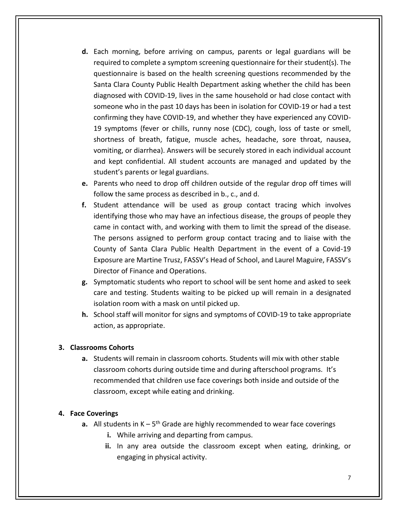- **d.** Each morning, before arriving on campus, parents or legal guardians will be required to complete a symptom screening questionnaire for their student(s). The questionnaire is based on the health screening questions recommended by the Santa Clara County Public Health Department asking whether the child has been diagnosed with COVID-19, lives in the same household or had close contact with someone who in the past 10 days has been in isolation for COVID-19 or had a test confirming they have COVID-19, and whether they have experienced any COVID-19 symptoms (fever or chills, runny nose (CDC), cough, loss of taste or smell, shortness of breath, fatigue, muscle aches, headache, sore throat, nausea, vomiting, or diarrhea). Answers will be securely stored in each individual account and kept confidential. All student accounts are managed and updated by the student's parents or legal guardians.
- **e.** Parents who need to drop off children outside of the regular drop off times will follow the same process as described in b., c., and d.
- **f.** Student attendance will be used as group contact tracing which involves identifying those who may have an infectious disease, the groups of people they came in contact with, and working with them to limit the spread of the disease. The persons assigned to perform group contact tracing and to liaise with the County of Santa Clara Public Health Department in the event of a Covid-19 Exposure are Martine Trusz, FASSV's Head of School, and Laurel Maguire, FASSV's Director of Finance and Operations.
- **g.** Symptomatic students who report to school will be sent home and asked to seek care and testing. Students waiting to be picked up will remain in a designated isolation room with a mask on until picked up.
- **h.** School staff will monitor for signs and symptoms of COVID-19 to take appropriate action, as appropriate.

### **3. Classrooms Cohorts**

**a.** Students will remain in classroom cohorts. Students will mix with other stable classroom cohorts during outside time and during afterschool programs. It's recommended that children use face coverings both inside and outside of the classroom, except while eating and drinking.

### **4. Face Coverings**

- **a.** All students in K 5<sup>th</sup> Grade are highly recommended to wear face coverings
	- **i.** While arriving and departing from campus.
	- **ii.** In any area outside the classroom except when eating, drinking, or engaging in physical activity.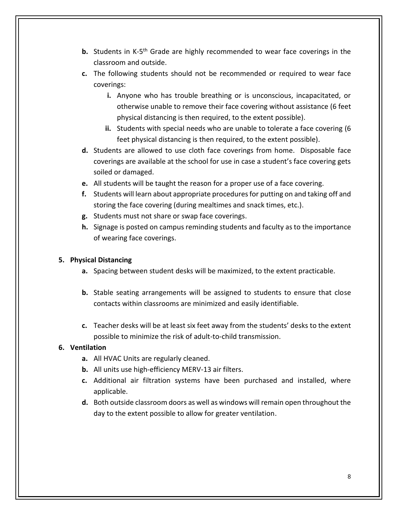- **b.** Students in K-5<sup>th</sup> Grade are highly recommended to wear face coverings in the classroom and outside.
- **c.** The following students should not be recommended or required to wear face coverings:
	- **i.** Anyone who has trouble breathing or is unconscious, incapacitated, or otherwise unable to remove their face covering without assistance (6 feet physical distancing is then required, to the extent possible).
	- **ii.** Students with special needs who are unable to tolerate a face covering (6 feet physical distancing is then required, to the extent possible).
- **d.** Students are allowed to use cloth face coverings from home. Disposable face coverings are available at the school for use in case a student's face covering gets soiled or damaged.
- **e.** All students will be taught the reason for a proper use of a face covering.
- **f.** Students will learn about appropriate procedures for putting on and taking off and storing the face covering (during mealtimes and snack times, etc.).
- **g.** Students must not share or swap face coverings.
- **h.** Signage is posted on campus reminding students and faculty as to the importance of wearing face coverings.

### **5. Physical Distancing**

- **a.** Spacing between student desks will be maximized, to the extent practicable.
- **b.** Stable seating arrangements will be assigned to students to ensure that close contacts within classrooms are minimized and easily identifiable.
- **c.** Teacher desks will be at least six feet away from the students' desks to the extent possible to minimize the risk of adult-to-child transmission.

### **6. Ventilation**

- **a.** All HVAC Units are regularly cleaned.
- **b.** All units use high-efficiency MERV-13 air filters.
- **c.** Additional air filtration systems have been purchased and installed, where applicable.
- **d.** Both outside classroom doors as well as windows will remain open throughout the day to the extent possible to allow for greater ventilation.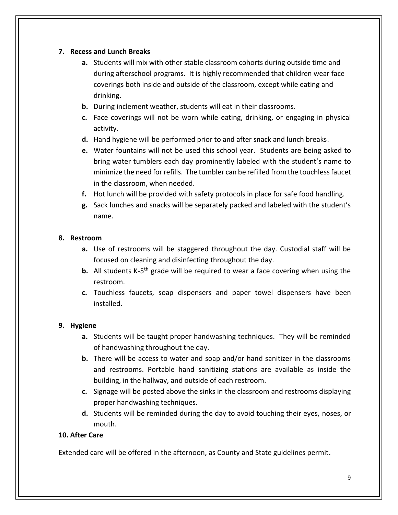### **7. Recess and Lunch Breaks**

- **a.** Students will mix with other stable classroom cohorts during outside time and during afterschool programs. It is highly recommended that children wear face coverings both inside and outside of the classroom, except while eating and drinking.
- **b.** During inclement weather, students will eat in their classrooms.
- **c.** Face coverings will not be worn while eating, drinking, or engaging in physical activity.
- **d.** Hand hygiene will be performed prior to and after snack and lunch breaks.
- **e.** Water fountains will not be used this school year. Students are being asked to bring water tumblers each day prominently labeled with the student's name to minimize the need for refills. The tumbler can be refilled from the touchlessfaucet in the classroom, when needed.
- **f.** Hot lunch will be provided with safety protocols in place for safe food handling.
- **g.** Sack lunches and snacks will be separately packed and labeled with the student's name.

### **8. Restroom**

- **a.** Use of restrooms will be staggered throughout the day. Custodial staff will be focused on cleaning and disinfecting throughout the day.
- **b.** All students K-5<sup>th</sup> grade will be required to wear a face covering when using the restroom.
- **c.** Touchless faucets, soap dispensers and paper towel dispensers have been installed.

### **9. Hygiene**

- **a.** Students will be taught proper handwashing techniques. They will be reminded of handwashing throughout the day.
- **b.** There will be access to water and soap and/or hand sanitizer in the classrooms and restrooms. Portable hand sanitizing stations are available as inside the building, in the hallway, and outside of each restroom.
- **c.** Signage will be posted above the sinks in the classroom and restrooms displaying proper handwashing techniques.
- **d.** Students will be reminded during the day to avoid touching their eyes, noses, or mouth.

### **10. After Care**

Extended care will be offered in the afternoon, as County and State guidelines permit.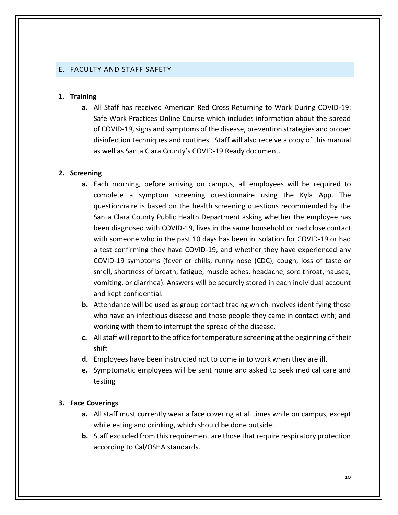#### <span id="page-9-0"></span>E. FACULTY AND STAFF SAFETY

#### **1. Training**

**a.** All Staff has received American Red Cross Returning to Work During COVID-19: Safe Work Practices Online Course which includes information about the spread of COVID-19, signs and symptoms of the disease, prevention strategies and proper disinfection techniques and routines. Staff will also receive a copy of this manual as well as Santa Clara County's COVID-19 Ready document.

#### **2. Screening**

- **a.** Each morning, before arriving on campus, all employees will be required to complete a symptom screening questionnaire using the Kyla App. The questionnaire is based on the health screening questions recommended by the Santa Clara County Public Health Department asking whether the employee has been diagnosed with COVID-19, lives in the same household or had close contact with someone who in the past 10 days has been in isolation for COVID-19 or had a test confirming they have COVID-19, and whether they have experienced any COVID-19 symptoms (fever or chills, runny nose (CDC), cough, loss of taste or smell, shortness of breath, fatigue, muscle aches, headache, sore throat, nausea, vomiting, or diarrhea). Answers will be securely stored in each individual account and kept confidential.
- **b.** Attendance will be used as group contact tracing which involves identifying those who have an infectious disease and those people they came in contact with; and working with them to interrupt the spread of the disease.
- **c.** All staff will report to the office for temperature screening at the beginning of their shift
- **d.** Employees have been instructed not to come in to work when they are ill.
- **e.** Symptomatic employees will be sent home and asked to seek medical care and testing

#### **3. Face Coverings**

- **a.** All staff must currently wear a face covering at all times while on campus, except while eating and drinking, which should be done outside.
- **b.** Staff excluded from this requirement are those that require respiratory protection according to Cal/OSHA standards.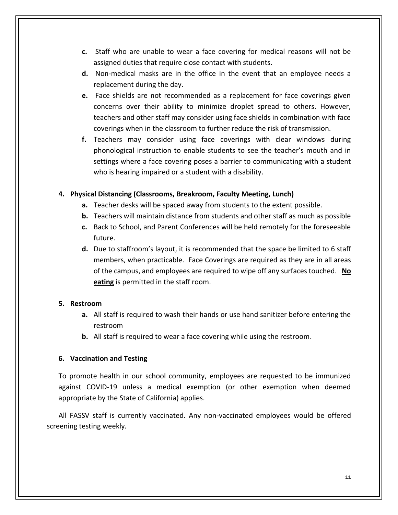- **c.** Staff who are unable to wear a face covering for medical reasons will not be assigned duties that require close contact with students.
- **d.** Non-medical masks are in the office in the event that an employee needs a replacement during the day.
- **e.** Face shields are not recommended as a replacement for face coverings given concerns over their ability to minimize droplet spread to others. However, teachers and other staff may consider using face shields in combination with face coverings when in the classroom to further reduce the risk of transmission.
- **f.** Teachers may consider using face coverings with clear windows during phonological instruction to enable students to see the teacher's mouth and in settings where a face covering poses a barrier to communicating with a student who is hearing impaired or a student with a disability.

### **4. Physical Distancing (Classrooms, Breakroom, Faculty Meeting, Lunch)**

- **a.** Teacher desks will be spaced away from students to the extent possible.
- **b.** Teachers will maintain distance from students and other staff as much as possible
- **c.** Back to School, and Parent Conferences will be held remotely for the foreseeable future.
- **d.** Due to staffroom's layout, it is recommended that the space be limited to 6 staff members, when practicable. Face Coverings are required as they are in all areas of the campus, and employees are required to wipe off any surfaces touched. **No eating** is permitted in the staff room.

### **5. Restroom**

- **a.** All staff is required to wash their hands or use hand sanitizer before entering the restroom
- **b.** All staff is required to wear a face covering while using the restroom.

### **6. Vaccination and Testing**

To promote health in our school community, employees are requested to be immunized against COVID-19 unless a medical exemption (or other exemption when deemed appropriate by the State of California) applies.

All FASSV staff is currently vaccinated. Any non-vaccinated employees would be offered screening testing weekly.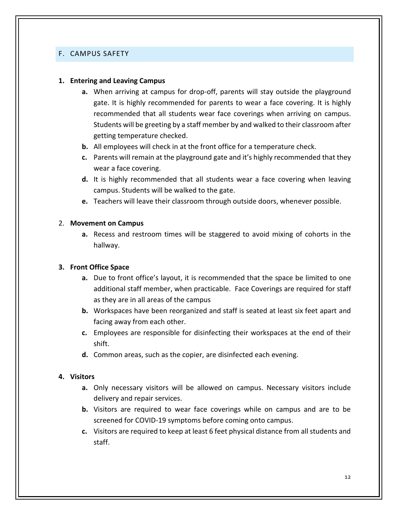#### <span id="page-11-0"></span>F. CAMPUS SAFETY

#### **1. Entering and Leaving Campus**

- **a.** When arriving at campus for drop-off, parents will stay outside the playground gate. It is highly recommended for parents to wear a face covering. It is highly recommended that all students wear face coverings when arriving on campus. Students will be greeting by a staff member by and walked to their classroom after getting temperature checked.
- **b.** All employees will check in at the front office for a temperature check.
- **c.** Parents will remain at the playground gate and it's highly recommended that they wear a face covering.
- **d.** It is highly recommended that all students wear a face covering when leaving campus. Students will be walked to the gate.
- **e.** Teachers will leave their classroom through outside doors, whenever possible.

#### 2. **Movement on Campus**

**a.** Recess and restroom times will be staggered to avoid mixing of cohorts in the hallway.

### **3. Front Office Space**

- **a.** Due to front office's layout, it is recommended that the space be limited to one additional staff member, when practicable. Face Coverings are required for staff as they are in all areas of the campus
- **b.** Workspaces have been reorganized and staff is seated at least six feet apart and facing away from each other.
- **c.** Employees are responsible for disinfecting their workspaces at the end of their shift.
- **d.** Common areas, such as the copier, are disinfected each evening.

#### **4. Visitors**

- **a.** Only necessary visitors will be allowed on campus. Necessary visitors include delivery and repair services.
- **b.** Visitors are required to wear face coverings while on campus and are to be screened for COVID-19 symptoms before coming onto campus.
- **c.** Visitors are required to keep at least 6 feet physical distance from all students and staff.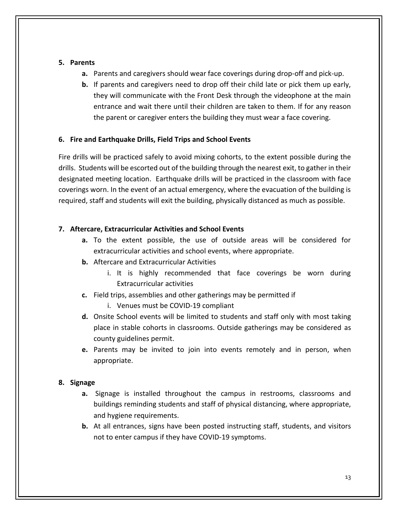### **5. Parents**

- **a.** Parents and caregivers should wear face coverings during drop-off and pick-up.
- **b.** If parents and caregivers need to drop off their child late or pick them up early, they will communicate with the Front Desk through the videophone at the main entrance and wait there until their children are taken to them. If for any reason the parent or caregiver enters the building they must wear a face covering.

### **6. Fire and Earthquake Drills, Field Trips and School Events**

Fire drills will be practiced safely to avoid mixing cohorts, to the extent possible during the drills. Students will be escorted out of the building through the nearest exit, to gather in their designated meeting location. Earthquake drills will be practiced in the classroom with face coverings worn. In the event of an actual emergency, where the evacuation of the building is required, staff and students will exit the building, physically distanced as much as possible.

### **7. Aftercare, Extracurricular Activities and School Events**

- **a.** To the extent possible, the use of outside areas will be considered for extracurricular activities and school events, where appropriate.
- **b.** Aftercare and Extracurricular Activities
	- i. It is highly recommended that face coverings be worn during Extracurricular activities
- **c.** Field trips, assemblies and other gatherings may be permitted if
	- i. Venues must be COVID-19 compliant
- **d.** Onsite School events will be limited to students and staff only with most taking place in stable cohorts in classrooms. Outside gatherings may be considered as county guidelines permit.
- **e.** Parents may be invited to join into events remotely and in person, when appropriate.

## **8. Signage**

- **a.** Signage is installed throughout the campus in restrooms, classrooms and buildings reminding students and staff of physical distancing, where appropriate, and hygiene requirements.
- **b.** At all entrances, signs have been posted instructing staff, students, and visitors not to enter campus if they have COVID-19 symptoms.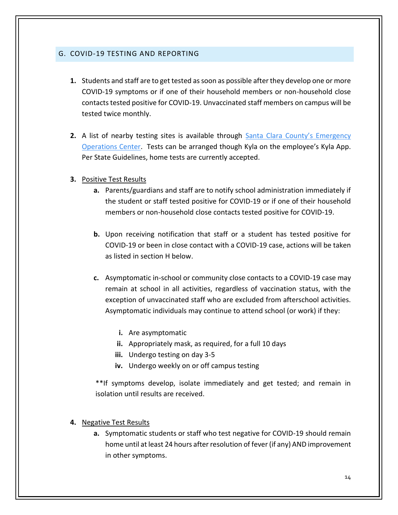### <span id="page-13-0"></span>G. COVID-19 TESTING AND REPORTING

- **1.** Students and staff are to get tested as soon as possible after they develop one or more COVID-19 symptoms or if one of their household members or non-household close contacts tested positive for COVID-19. Unvaccinated staff members on campus will be tested twice monthly.
- **2.** A list of nearby testing sites is available through Santa Clara County's Emergency [Operations Center.](https://www.sccgov.org/sites/covid19/Pages/covid19-testing.aspx) Tests can be arranged though Kyla on the employee's Kyla App. Per State Guidelines, home tests are currently accepted.

### **3.** Positive Test Results

- **a.** Parents/guardians and staff are to notify school administration immediately if the student or staff tested positive for COVID-19 or if one of their household members or non-household close contacts tested positive for COVID-19.
- **b.** Upon receiving notification that staff or a student has tested positive for COVID-19 or been in close contact with a COVID-19 case, actions will be taken as listed in section H below.
- **c.** Asymptomatic in-school or community close contacts to a COVID-19 case may remain at school in all activities, regardless of vaccination status, with the exception of unvaccinated staff who are excluded from afterschool activities. Asymptomatic individuals may continue to attend school (or work) if they:
	- **i.** Are asymptomatic
	- **ii.** Appropriately mask, as required, for a full 10 days
	- **iii.** Undergo testing on day 3-5
	- **iv.** Undergo weekly on or off campus testing

\*\*If symptoms develop, isolate immediately and get tested; and remain in isolation until results are received.

### **4.** Negative Test Results

**a.** Symptomatic students or staff who test negative for COVID-19 should remain home until at least 24 hours after resolution of fever (if any) AND improvement in other symptoms.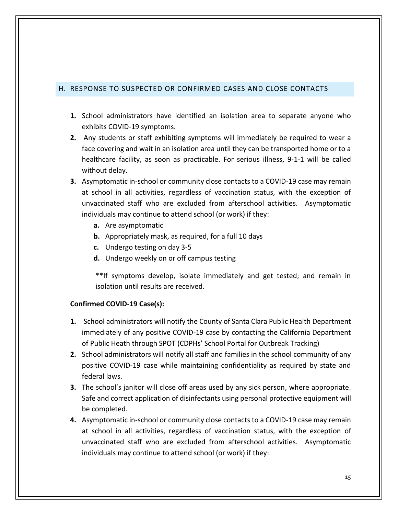### <span id="page-14-0"></span>H. RESPONSE TO SUSPECTED OR CONFIRMED CASES AND CLOSE CONTACTS

- **1.** School administrators have identified an isolation area to separate anyone who exhibits COVID-19 symptoms.
- **2.** Any students or staff exhibiting symptoms will immediately be required to wear a face covering and wait in an isolation area until they can be transported home or to a healthcare facility, as soon as practicable. For serious illness, 9-1-1 will be called without delay.
- **3.** Asymptomatic in-school or community close contacts to a COVID-19 case may remain at school in all activities, regardless of vaccination status, with the exception of unvaccinated staff who are excluded from afterschool activities. Asymptomatic individuals may continue to attend school (or work) if they:
	- **a.** Are asymptomatic
	- **b.** Appropriately mask, as required, for a full 10 days
	- **c.** Undergo testing on day 3-5
	- **d.** Undergo weekly on or off campus testing

\*\*If symptoms develop, isolate immediately and get tested; and remain in isolation until results are received.

### **Confirmed COVID-19 Case(s):**

- **1.** School administrators will notify the County of Santa Clara Public Health Department immediately of any positive COVID-19 case by contacting the California Department of Public Heath through SPOT (CDPHs' School Portal for Outbreak Tracking)
- **2.** School administrators will notify all staff and families in the school community of any positive COVID-19 case while maintaining confidentiality as required by state and federal laws.
- **3.** The school's janitor will close off areas used by any sick person, where appropriate. Safe and correct application of disinfectants using personal protective equipment will be completed.
- **4.** Asymptomatic in-school or community close contacts to a COVID-19 case may remain at school in all activities, regardless of vaccination status, with the exception of unvaccinated staff who are excluded from afterschool activities. Asymptomatic individuals may continue to attend school (or work) if they: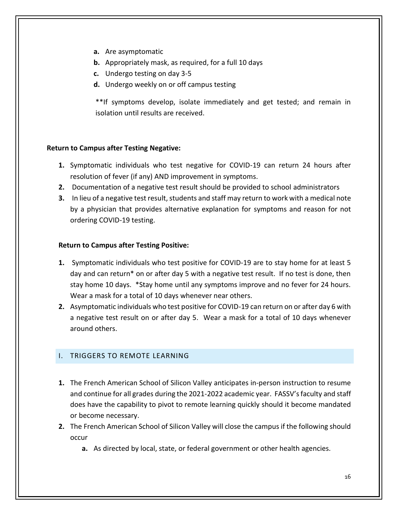- **a.** Are asymptomatic
- **b.** Appropriately mask, as required, for a full 10 days
- **c.** Undergo testing on day 3-5
- **d.** Undergo weekly on or off campus testing

\*\*If symptoms develop, isolate immediately and get tested; and remain in isolation until results are received.

### **Return to Campus after Testing Negative:**

- **1.** Symptomatic individuals who test negative for COVID-19 can return 24 hours after resolution of fever (if any) AND improvement in symptoms.
- **2.** Documentation of a negative test result should be provided to school administrators
- **3.** In lieu of a negative test result, students and staff may return to work with a medical note by a physician that provides alternative explanation for symptoms and reason for not ordering COVID-19 testing.

### **Return to Campus after Testing Positive:**

- **1.** Symptomatic individuals who test positive for COVID-19 are to stay home for at least 5 day and can return\* on or after day 5 with a negative test result. If no test is done, then stay home 10 days. \*Stay home until any symptoms improve and no fever for 24 hours. Wear a mask for a total of 10 days whenever near others.
- **2.** Asymptomatic individuals who test positive for COVID-19 can return on or after day 6 with a negative test result on or after day 5. Wear a mask for a total of 10 days whenever around others.

### <span id="page-15-0"></span>I. TRIGGERS TO REMOTE LEARNING

- **1.** The French American School of Silicon Valley anticipates in-person instruction to resume and continue for all grades during the 2021-2022 academic year. FASSV's faculty and staff does have the capability to pivot to remote learning quickly should it become mandated or become necessary.
- **2.** The French American School of Silicon Valley will close the campus if the following should occur
	- **a.** As directed by local, state, or federal government or other health agencies.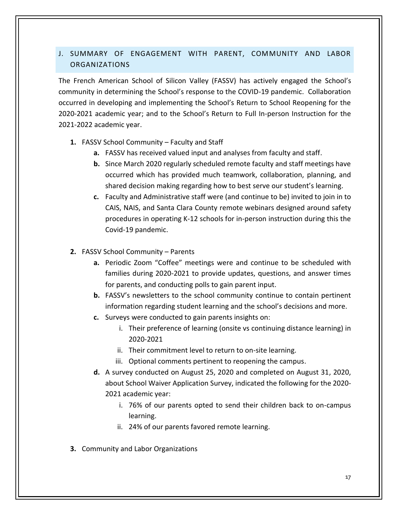# <span id="page-16-0"></span>J. SUMMARY OF ENGAGEMENT WITH PARENT, COMMUNITY AND LABOR ORGANIZATIONS

The French American School of Silicon Valley (FASSV) has actively engaged the School's community in determining the School's response to the COVID-19 pandemic. Collaboration occurred in developing and implementing the School's Return to School Reopening for the 2020-2021 academic year; and to the School's Return to Full In-person Instruction for the 2021-2022 academic year.

- **1.** FASSV School Community Faculty and Staff
	- **a.** FASSV has received valued input and analyses from faculty and staff.
	- **b.** Since March 2020 regularly scheduled remote faculty and staff meetings have occurred which has provided much teamwork, collaboration, planning, and shared decision making regarding how to best serve our student's learning.
	- **c.** Faculty and Administrative staff were (and continue to be) invited to join in to CAIS, NAIS, and Santa Clara County remote webinars designed around safety procedures in operating K-12 schools for in-person instruction during this the Covid-19 pandemic.
- **2.** FASSV School Community Parents
	- **a.** Periodic Zoom "Coffee" meetings were and continue to be scheduled with families during 2020-2021 to provide updates, questions, and answer times for parents, and conducting polls to gain parent input.
	- **b.** FASSV's newsletters to the school community continue to contain pertinent information regarding student learning and the school's decisions and more.
	- **c.** Surveys were conducted to gain parents insights on:
		- i. Their preference of learning (onsite vs continuing distance learning) in 2020-2021
		- ii. Their commitment level to return to on-site learning.
		- iii. Optional comments pertinent to reopening the campus.
	- **d.** A survey conducted on August 25, 2020 and completed on August 31, 2020, about School Waiver Application Survey, indicated the following for the 2020- 2021 academic year:
		- i. 76% of our parents opted to send their children back to on-campus learning.
		- ii. 24% of our parents favored remote learning.
- **3.** Community and Labor Organizations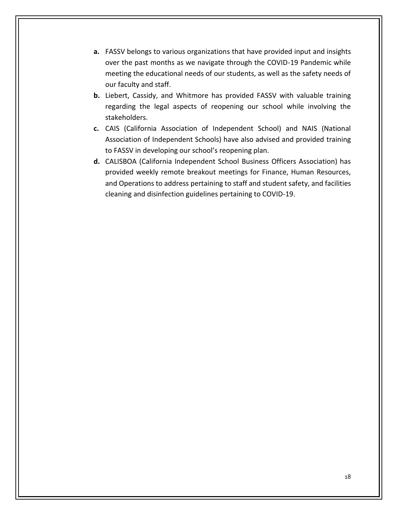- **a.** FASSV belongs to various organizations that have provided input and insights over the past months as we navigate through the COVID-19 Pandemic while meeting the educational needs of our students, as well as the safety needs of our faculty and staff.
- **b.** Liebert, Cassidy, and Whitmore has provided FASSV with valuable training regarding the legal aspects of reopening our school while involving the stakeholders.
- **c.** CAIS (California Association of Independent School) and NAIS (National Association of Independent Schools) have also advised and provided training to FASSV in developing our school's reopening plan.
- **d.** CALISBOA (California Independent School Business Officers Association) has provided weekly remote breakout meetings for Finance, Human Resources, and Operations to address pertaining to staff and student safety, and facilities cleaning and disinfection guidelines pertaining to COVID-19.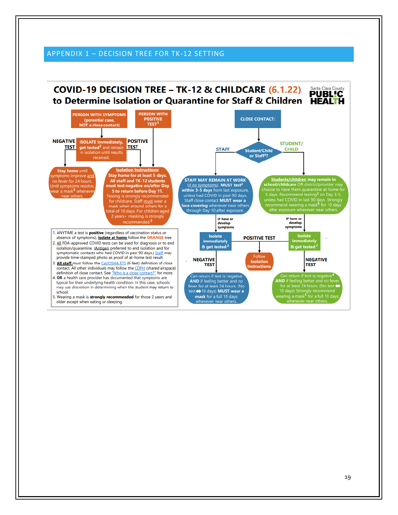### <span id="page-18-0"></span>APPENDIX 1 – DECISION TREE FOR TK-12 SETTING